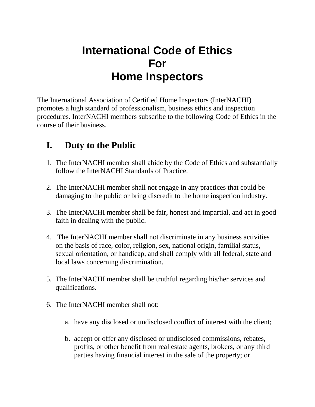## **International Code of Ethics For Home Inspectors**

The International Association of Certified Home Inspectors (InterNACHI) promotes a high standard of professionalism, business ethics and inspection procedures. InterNACHI members subscribe to the following Code of Ethics in the course of their business.

## **I. Duty to the Public**

- 1. The InterNACHI member shall abide by the Code of Ethics and substantially follow the InterNACHI Standards of Practice.
- 2. The InterNACHI member shall not engage in any practices that could be damaging to the public or bring discredit to the home inspection industry.
- 3. The InterNACHI member shall be fair, honest and impartial, and act in good faith in dealing with the public.
- 4. The InterNACHI member shall not discriminate in any business activities on the basis of race, color, religion, sex, national origin, familial status, sexual orientation, or handicap, and shall comply with all federal, state and local laws concerning discrimination.
- 5. The InterNACHI member shall be truthful regarding his/her services and qualifications.
- 6. The InterNACHI member shall not:
	- a. have any disclosed or undisclosed conflict of interest with the client;
	- b. accept or offer any disclosed or undisclosed commissions, rebates, profits, or other benefit from real estate agents, brokers, or any third parties having financial interest in the sale of the property; or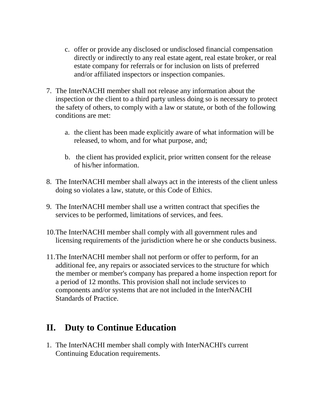- c. offer or provide any disclosed or undisclosed financial compensation directly or indirectly to any real estate agent, real estate broker, or real estate company for referrals or for inclusion on lists of preferred and/or affiliated inspectors or inspection companies.
- 7. The InterNACHI member shall not release any information about the inspection or the client to a third party unless doing so is necessary to protect the safety of others, to comply with a law or statute, or both of the following conditions are met:
	- a. the client has been made explicitly aware of what information will be released, to whom, and for what purpose, and;
	- b. the client has provided explicit, prior written consent for the release of his/her information.
- 8. The InterNACHI member shall always act in the interests of the client unless doing so violates a law, statute, or this Code of Ethics.
- 9. The InterNACHI member shall use a written contract that specifies the services to be performed, limitations of services, and fees.
- 10.The InterNACHI member shall comply with all government rules and licensing requirements of the jurisdiction where he or she conducts business.
- 11.The InterNACHI member shall not perform or offer to perform, for an additional fee, any repairs or associated services to the structure for which the member or member's company has prepared a home inspection report for a period of 12 months. This provision shall not include services to components and/or systems that are not included in the InterNACHI Standards of Practice.

## **II. Duty to Continue Education**

1. The InterNACHI member shall comply with InterNACHI's current Continuing Education requirements.